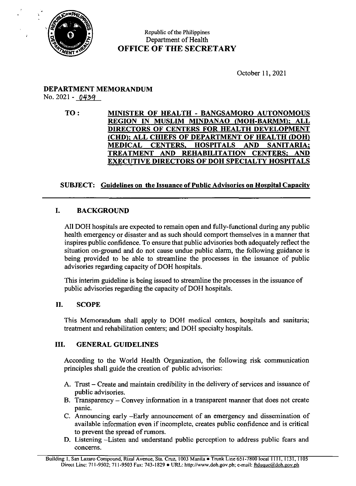

## Republic of the Philippines Department of Health OFFICE OF THE SECRETARY

October 11, 2021

## DEPARTMENT MEMORANDUM No. 2021 - 0439

## TO: MINISTER OF HEALTH - BANGSAMORO AUTONOMOUS REGION IN MUSLIM MINDANAO (MOH-BARMM): ALL DIRECTORS OF CENTERS FOR HEALTH DEVELOPMENT (CHD); ALL CHIEFS OF DEPARTMENT OF HEALTH (DOH) MEDICAL CENTERS, HOSPITALS AND SANITARIA; TREATMENT AND REHABILITATION CENTERS: AND EXECUTIVE DIRECTORS OF DOH SPECIALTY HOSPITALS

# SUBJECT: Guidelines on the Issuance of Public Advisories on Hospital Capacity

# I. BACKGROUND

All DOH hospitals are expected to remain open and fully-functional during any public health emergency or disaster and as such should comport themselves in a manner that inspires public confidence. To ensure that public advisories both adequately reflect the situation on-ground and do not cause undue public alarm, the following guidance is being provided to be able to streamline the processes in the issuance of public advisories regarding capacity of DOH hospitals.

This interim guideline is being issued to streamline the processes in the issuance of public advisories regarding the capacity of DOH hospitals.

### IL SCOPE

This Memorandum shall apply to DOH medical centers, hospitals and sanitaria; treatment and rehabilitation centers; and DOH specialty hospitals.

### III. GENERAL GUIDELINES

According to the World Health Organization, the following risk communication principles shall guide the creation of public advisories:

- A. Trust Create and maintain credibility in the delivery of services and issuance of public advisories.
- B. Transparency Convey information in a transparent manner that does not create panic.
- C. Announcing early —Early announcement of an emergency and dissemination of available information even if incomplete, creates public confidence and is critical to prevent the spread of rumors.
- D. Listening —Listen and understand public perception to address public fears and concerns.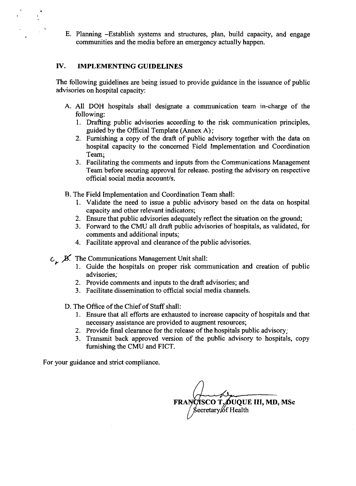E. Planning -Establish systems and structures, plan, build capacity, and engage communities and the media before an emergency actually happen.

### IV. IMPLEMENTING GUIDELINES

The following guidelines are being issued to provide guidance in the issuance of public advisories on hospital capacity:

- A. All DOH hospitals shall designate a communication team in-charge of the following:
	- 1. Drafting public advisories according to the risk communication principles, guided by the Official Template (Annex A);
	- 2. Fumishing a copy of the draft of public advisory together with the data on hospital capacity to the concerned Field Implementation and Coordination Team;
	- 3. Facilitating the comments and inputs from the Communications Management Team before securing approval for release. posting the advisory on respective official social media account/s.
- B. The Field Implementation and Coordination Team shall:
	- 1. Validate the need to issue a public advisory based on the data on hospital capacity and other relevant indicators;
	- 2. Ensure that public advisories adequately reflect the situation on the ground;
	- 3. Forward to the CMU all draft public advisories of hospitals, as validated, for comments and additional inputs;
	- 4. Facilitate approval and clearance of the public advisories.

 $C_{c}$  JS. The Communications Management Unit shall:

- 1. Guide the hospitals on proper risk communication and creation of public advisories;
- 2. Provide comments and inputs to the draft advisories; and
- 3. Facilitate dissemination to official social media channels.
- D. The Office of the Chief of Staff shall:
	- 1. Ensure that all efforts are exhausted to increase capacity of hospitals and that necessary assistance are provided to augment resources;
	- 2. Provide final clearance for the release of the hospitals public advisory;
	- 3. Transmit back approved version of the public advisory to hospitals, copy furnishing the CMU and FICT.

For your guidance and strict compliance.

FRANCISCO T, OUQUE III, MD, MSc<br>Secretary of Health